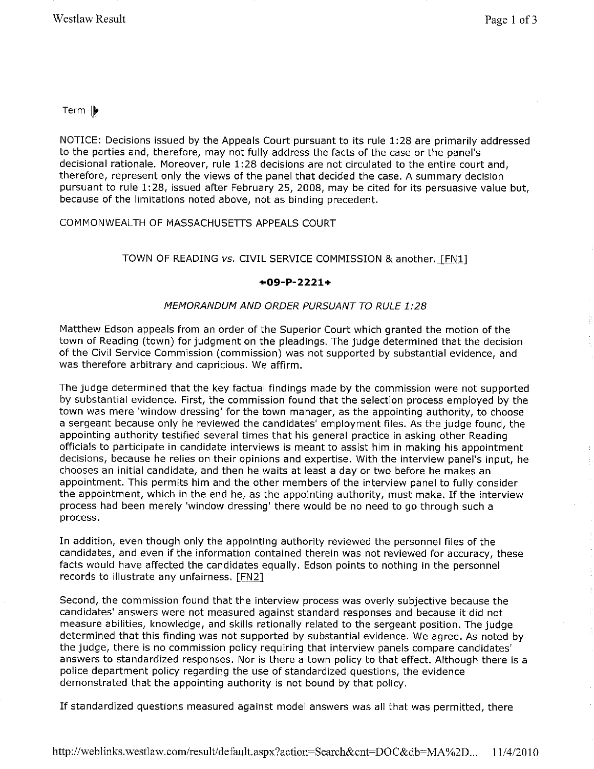Term I)'

NOTICE: Decisions issued by the Appeals Court pursuant to its rule 1:28 are primarily addressed to the parties and, therefore, may not fully address the facts of the case or the panel's decisional rationale. Moreover, rule 1: 28 decisions are not circulated to the entire court and, therefore, represent only the views of the panel that decided the case. A summary decision pursuant to rule 1: 28, issued after February 25, 2008, may be cited for its persuasive value but, because of the limitations noted above, not as binding precedent.

COMMONWEALTH OF MASSACHUSETTS APPEALS COURT

# TOWN OF READING *vs.* CIVIL SERVICE COMMISSION & another. [FN1]

#### **+09-P-2221+**

## MEMORANDUM AND ORDER PURSUANT TO RULE 1:28

Matthew Edson appeals from an order of the Superior Court which granted the motion of the town of Reading (town) for judgment on the pleadings. The judge determined that the decision of the Civil Service Commission (commission) was not supported by substantial evidence, and was therefore arbitrary and capricious. We affirm.

The judge determined that the key factual findings made by the commission were not supported by substantial evidence. First, the commission found that the selection process employed by the town was mere 'window dressing' for the town manager, as the appointing authority, to choose a sergeant because only he reviewed the candidates' employment files. As the judge found, the appointing authority testified several times that his general practice in asking other Reading officials to participate in candidate interviews is meant to assist him in making his appointment decisions, because he relies on their opinions and expertise. With the interview panel's input, he chooses an initial candidate, and then he waits at least a day or two before he makes an appointment. This permits him and the other members of the interview panel to fully consider the appointment, which in the end he, as the appointing authority, must make. If the interview process had been merely 'window dressing' there would be no need to go through such a process.

In addition, even though only the appointing authority reviewed the personnel files of the candidates, and even if the information contained therein was not reviewed for accuracy, these facts would have affected the candidates equally. Edson points to nothing in the personnel records to illustrate any unfairness. [FN2]

Second, the commission found that the interview process was overly subjective because the candidates' answers were not measured against standard responses and because it did not measure abilities, knowledge, and skills rationally related to the sergeant position. The judge determined that this finding was not supported by substantial evidence. We agree. As noted by the judge, there is no commission policy requiring that interview panels compare candidates' answers to standardized responses. Nor is there a town policy to that effect. Although there is a police department policy regarding the use of standardized questions, the evidence demonstrated that the appointing authority is not bound by that policy.

If standardized questions measured against model answers was all that was permitted, there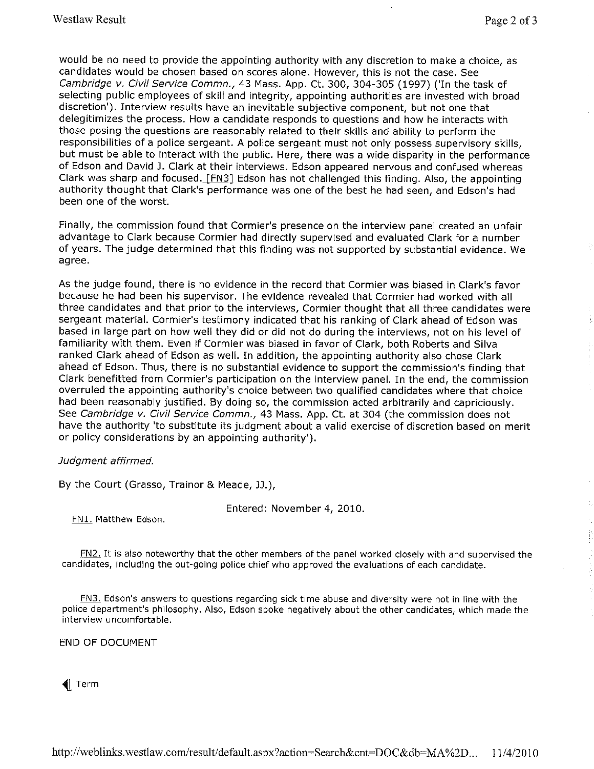would be no need to provide the appointing authority with any discretion to make a choice, as candidates would be chosen based on scores alone. However, this is not the case. See Cambridge v. Civil Service Commn., 43 Mass. App. Ct. 300, 304-305 (1997) ('In the task of selecting public employees of skill and integrity, appointing authorities are invested with broad discretion'). Interview results have an inevitable subjective component, but not one that delegitimizes the process. How a candidate responds to questions and how he interacts with those posing the questions are reasonably related to their skills and ability to perform the responsibilities of a police sergeant. A police sergeant must not only possess supervisory skills, but must be able to interact with the public. Here, there was a wide disparity in the performance of Edson and David J. Clark at their interviews. Edson appeared nervous and confused whereas Clark was sharp and focused. [FN3] Edson has not challenged this finding. Also, the appointing authority thought that Clark's performance was one of the best he had seen, and Edson's had been one of the worst.

Finally, the commission found that Cormier's presence on the interview panel created an unfair advantage to Clark because Cormier had directly supervised and evaluated Clark for a number of years. The judge determined that this finding was not supported by substantial evidence. We agree.

As the judge found, there is no evidence in the record that Cormier was biased in Clark's favor because he had been his supervisor. The evidence revealed that Cormier had worked with all three candidates and that prior to the interviews, Cormier thought that all three candidates were sergeant material. Cormier's testimony indicated that his ranking of Clark ahead of Edson was based in large part on how well they did or did not do during the interviews, not on his level of familiarity with them. Even if Cormier was biased in favor of Clark, both Roberts and Silva ranked Clark ahead of Edson as well. In addition, the appointing authority also chose Clark ahead of Edson. Thus, there is no substantial evidence to support the commission's finding that Clark benefitted from Cormier's participation on the interview panel. In the end, the commission overruled the appointing authority's choice between two qualified candidates where that choice had been reasonably justified. By doing so, the commission acted arbitrarily and capriciously. See Cambridge v. Civil Service Commn., 43 Mass. App. Ct. at 304 (the commission does not have the authority 'to substitute its judgment about a valid exercise of discretion based on merit or policy considerations by an appointing authority').

## Judgment affirmed.

By the Court (Grasso, Trainor & Meade, JJ.),

Entered: November 4, 2010.

FN1. Matthew Edson.

FN2. It is also noteworthy that the other members of the panel worked closely with and supervised the candidates, including the out-going police chief who approved the evaluations of each candidate.

FN3. Edson's answers to questions regarding sick time abuse and diversity were not in line with the police department's philosophy. Also, Edson spoke negatively about the other candidates, which made the interview uncomfortable.

#### END OF DOCUMENT

Term